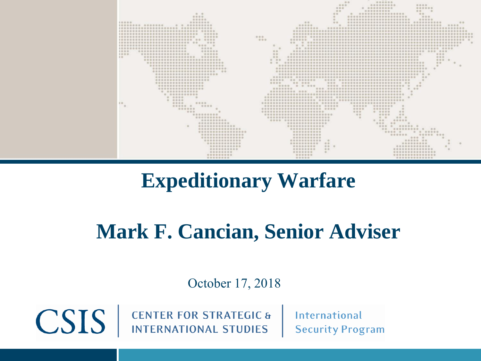

## **Expeditionary Warfare**

## **Mark F. Cancian, Senior Adviser**

October 17, 2018

**CENTER FOR STRATEGIC & INTERNATIONAL STUDIES** 

CSIS |

**International Security Program**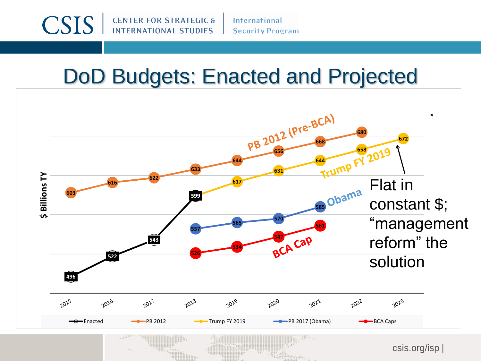

**International Security Program** 

## DoD Budgets: Enacted and Projected

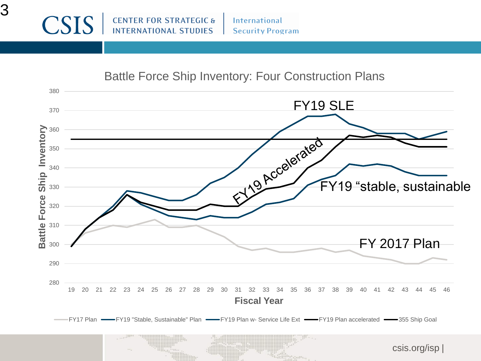**International Security Program** 

## Battle Force Ship Inventory: Four Construction Plans

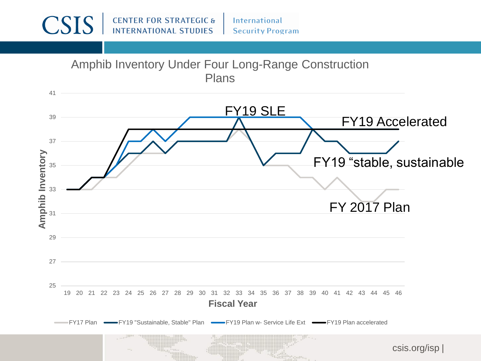**CENTER FOR STRATEGIC &**<br>INTERNATIONAL STUDIES **CSIS** International **Security Program** Amphib Inventory Under Four Long-Range Construction Plans 41 FY19 SLE 39 FY19 Accelerated 37 **Amphib Inventory Amphib Inventory** FY19 "stable, sustainable35 33 FY 2017 Plan  $3<sup>1</sup>$ 29 27 25 19 20 21 22 23 24 25 26 27 28 29 30 31 32 33 34 35 36 37 38 39 40 41 42 43 44 45 46 **Fiscal Year**  FY17 Plan  $\longrightarrow$  FY19 "Sustainable, Stable" Plan  $\longrightarrow$  FY19 Plan w- Service Life Ext  $\longrightarrow$  FY19 Plan accelerated csis.org/isp |